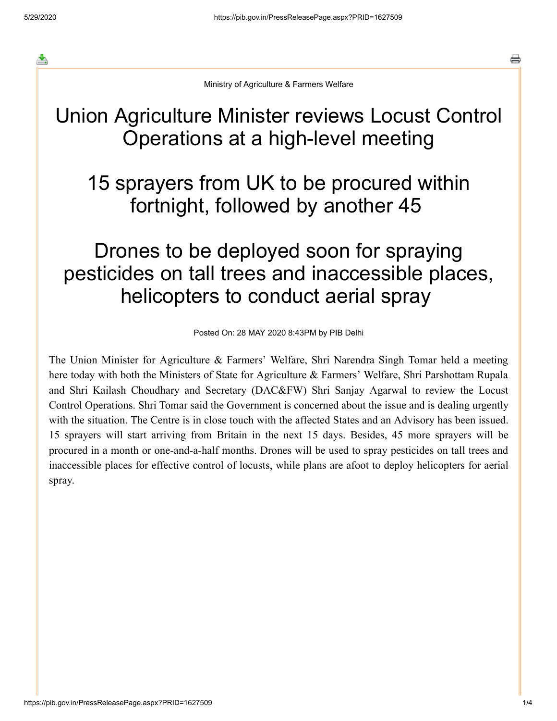≛

⇔

Ministry of Agriculture & Farmers Welfare

## Union Agriculture Minister reviews Locust Control Operations at a high-level meeting

## 15 sprayers from UK to be procured within fortnight, followed by another 45

## Drones to be deployed soon for spraying pesticides on tall trees and inaccessible places, helicopters to conduct aerial spray

Posted On: 28 MAY 2020 8:43PM by PIB Delhi

The Union Minister for Agriculture & Farmers' Welfare, Shri Narendra Singh Tomar held a meeting here today with both the Ministers of State for Agriculture & Farmers' Welfare, Shri Parshottam Rupala and Shri Kailash Choudhary and Secretary (DAC&FW) Shri Sanjay Agarwal to review the Locust Control Operations. Shri Tomar said the Government is concerned about the issue and is dealing urgently with the situation. The Centre is in close touch with the affected States and an Advisory has been issued. 15 sprayers will start arriving from Britain in the next 15 days. Besides, 45 more sprayers will be procured in a month or one-and-a-half months. Drones will be used to spray pesticides on tall trees and inaccessible places for effective control of locusts, while plans are afoot to deploy helicopters for aerial spray.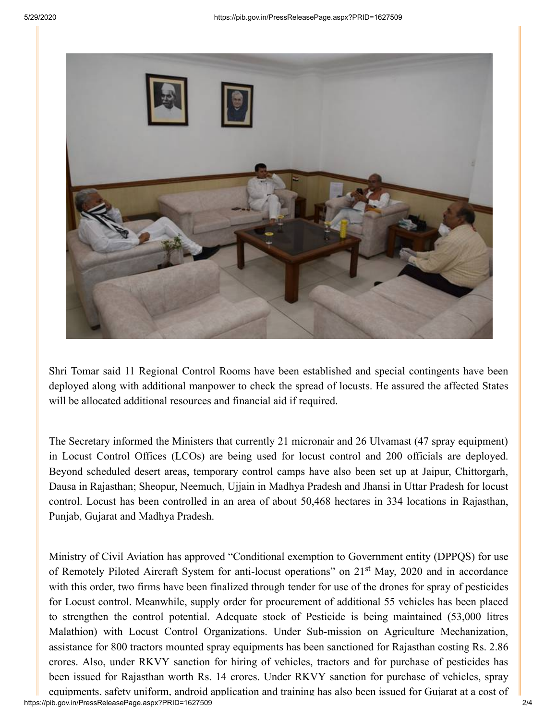

Shri Tomar said 11 Regional Control Rooms have been established and special contingents have been deployed along with additional manpower to check the spread of locusts. He assured the affected States will be allocated additional resources and financial aid if required.

The Secretary informed the Ministers that currently 21 micronair and 26 Ulvamast (47 spray equipment) in Locust Control Offices (LCOs) are being used for locust control and 200 officials are deployed. Beyond scheduled desert areas, temporary control camps have also been set up at Jaipur, Chittorgarh, Dausa in Rajasthan; Sheopur, Neemuch, Ujjain in Madhya Pradesh and Jhansi in Uttar Pradesh for locust control. Locust has been controlled in an area of about 50,468 hectares in 334 locations in Rajasthan, Punjab, Gujarat and Madhya Pradesh.

Ministry of Civil Aviation has approved "Conditional exemption to Government entity (DPPQS) for use of Remotely Piloted Aircraft System for anti-locust operations" on 21<sup>st</sup> May, 2020 and in accordance with this order, two firms have been finalized through tender for use of the drones for spray of pesticides for Locust control. Meanwhile, supply order for procurement of additional 55 vehicles has been placed to strengthen the control potential. Adequate stock of Pesticide is being maintained (53,000 litres Malathion) with Locust Control Organizations. Under Sub-mission on Agriculture Mechanization, assistance for 800 tractors mounted spray equipments has been sanctioned for Rajasthan costing Rs. 2.86 crores. Also, under RKVY sanction for hiring of vehicles, tractors and for purchase of pesticides has been issued for Rajasthan worth Rs. 14 crores. Under RKVY sanction for purchase of vehicles, spray